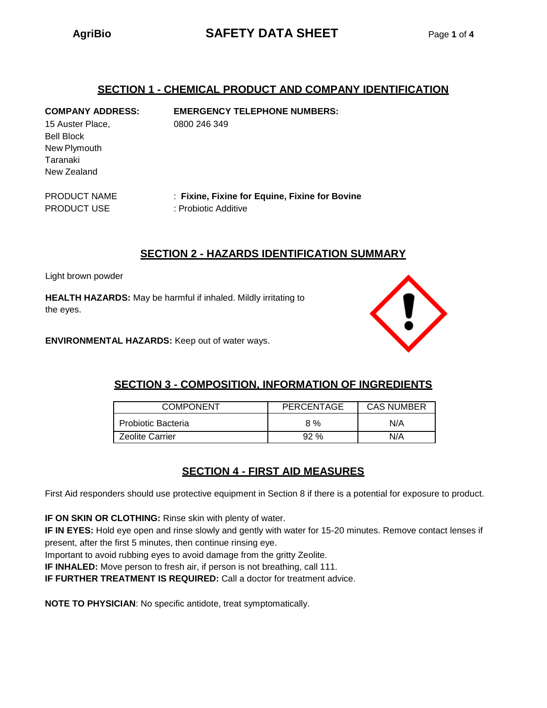# **AgriBio SAFETY DATA SHEET** Page **1** of **4**

## **SECTION 1 - CHEMICAL PRODUCT AND COMPANY IDENTIFICATION**

**COMPANY ADDRESS: EMERGENCY TELEPHONE NUMBERS:** 15 Auster Place, 0800 246 349

Bell Block New Plymouth Taranaki New Zealand

PRODUCT NAME : **Fixine, Fixine for Equine, Fixine for Bovine** PRODUCT USE : Probiotic Additive

## **SECTION 2 - HAZARDS IDENTIFICATION SUMMARY**

Light brown powder

**HEALTH HAZARDS:** May be harmful if inhaled. Mildly irritating to the eyes.

**ENVIRONMENTAL HAZARDS:** Keep out of water ways.



# **SECTION 3 - COMPOSITION, INFORMATION OF INGREDIENTS**

| <b>COMPONENT</b>          | <b>PERCENTAGE</b> | <b>CAS NUMBER</b> |
|---------------------------|-------------------|-------------------|
| <b>Probiotic Bacteria</b> | 8 %               | N/A               |
| <b>Zeolite Carrier</b>    | 92%               | N/A               |

# **SECTION 4 - FIRST AID MEASURES**

First Aid responders should use protective equipment in Section 8 if there is a potential for exposure to product.

**IF ON SKIN OR CLOTHING:** Rinse skin with plenty of water.

**IF IN EYES:** Hold eye open and rinse slowly and gently with water for 15-20 minutes. Remove contact lenses if present, after the first 5 minutes, then continue rinsing eye.

Important to avoid rubbing eyes to avoid damage from the gritty Zeolite.

**IF INHALED:** Move person to fresh air, if person is not breathing, call 111.

**IF FURTHER TREATMENT IS REQUIRED:** Call a doctor for treatment advice.

**NOTE TO PHYSICIAN**: No specific antidote, treat symptomatically.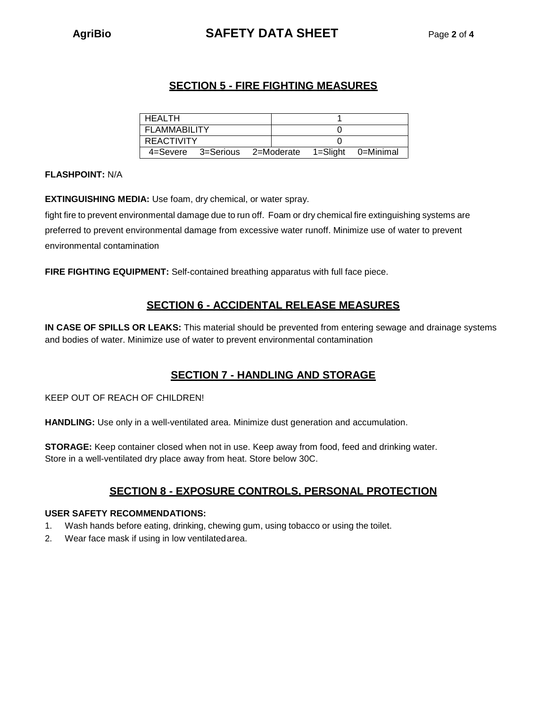# **AgriBio SAFETY DATA SHEET** Page **2** of **4**

# **SECTION 5 - FIRE FIGHTING MEASURES**

| l HEALTH     |                                                  |  |  |
|--------------|--------------------------------------------------|--|--|
| FLAMMABILITY |                                                  |  |  |
| I REACTIVITY |                                                  |  |  |
|              | 4=Severe 3=Serious 2=Moderate 1=Slight 0=Minimal |  |  |

### **FLASHPOINT:** N/A

**EXTINGUISHING MEDIA:** Use foam, dry chemical, or water spray.

fight fire to prevent environmental damage due to run off. Foam or dry chemical fire extinguishing systems are preferred to prevent environmental damage from excessive water runoff. Minimize use of water to prevent environmental contamination

**FIRE FIGHTING EQUIPMENT:** Self-contained breathing apparatus with full face piece.

# **SECTION 6 - ACCIDENTAL RELEASE MEASURES**

**IN CASE OF SPILLS OR LEAKS:** This material should be prevented from entering sewage and drainage systems and bodies of water. Minimize use of water to prevent environmental contamination

# **SECTION 7 - HANDLING AND STORAGE**

KEEP OUT OF REACH OF CHILDREN!

**HANDLING:** Use only in a well-ventilated area. Minimize dust generation and accumulation.

**STORAGE:** Keep container closed when not in use. Keep away from food, feed and drinking water. Store in a well-ventilated dry place away from heat. Store below 30C.

# **SECTION 8 - EXPOSURE CONTROLS, PERSONAL PROTECTION**

### **USER SAFETY RECOMMENDATIONS:**

- 1. Wash hands before eating, drinking, chewing gum, using tobacco or using the toilet.
- 2. Wear face mask if using in low ventilatedarea.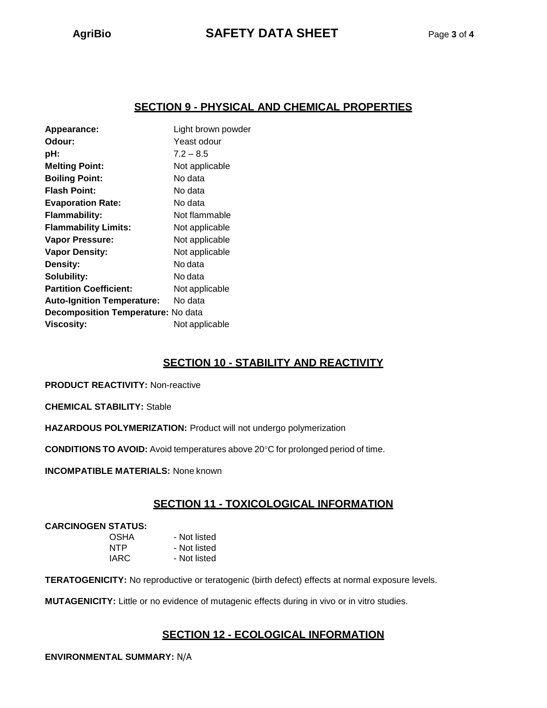# **SECTION 9 - PHYSICAL AND CHEMICAL PROPERTIES**

| Appearance:                        | Light brown powder |  |
|------------------------------------|--------------------|--|
| Odour:                             | Yeast odour        |  |
| pH:                                | $7.2 - 8.5$        |  |
| <b>Melting Point:</b>              | Not applicable     |  |
| <b>Boiling Point:</b>              | No data            |  |
| <b>Flash Point:</b>                | No data            |  |
| <b>Evaporation Rate:</b>           | No data            |  |
| <b>Flammability:</b>               | Not flammable      |  |
| <b>Flammability Limits:</b>        | Not applicable     |  |
| <b>Vapor Pressure:</b>             | Not applicable     |  |
| <b>Vapor Density:</b>              | Not applicable     |  |
| <b>Density:</b>                    | No data            |  |
| Solubility:                        | No data            |  |
| <b>Partition Coefficient:</b>      | Not applicable     |  |
| <b>Auto-Ignition Temperature:</b>  | No data            |  |
| Decomposition Temperature: No data |                    |  |
| <b>Viscosity:</b>                  | Not applicable     |  |
|                                    |                    |  |

# **SECTION 10 - STABILITY AND REACTIVITY**

**PRODUCT REACTIVITY:** Non-reactive

**CHEMICAL STABILITY:** Stable

**HAZARDOUS POLYMERIZATION:** Product will not undergo polymerization

**CONDITIONS TO AVOID:** Avoid temperatures above 20°C for prolonged period of time.

**INCOMPATIBLE MATERIALS:** None known

# **SECTION 11 - TOXICOLOGICAL INFORMATION**

#### **CARCINOGEN STATUS:**

| <b>OSHA</b> | - Not listed |
|-------------|--------------|
| NTP         | - Not listed |
| IARC        | - Not listed |

**TERATOGENICITY:** No reproductive or teratogenic (birth defect) effects at normal exposure levels.

**MUTAGENICITY:** Little or no evidence of mutagenic effects during in vivo or in vitro studies.

# **SECTION 12 - ECOLOGICAL INFORMATION**

**ENVIRONMENTAL SUMMARY:** N/A